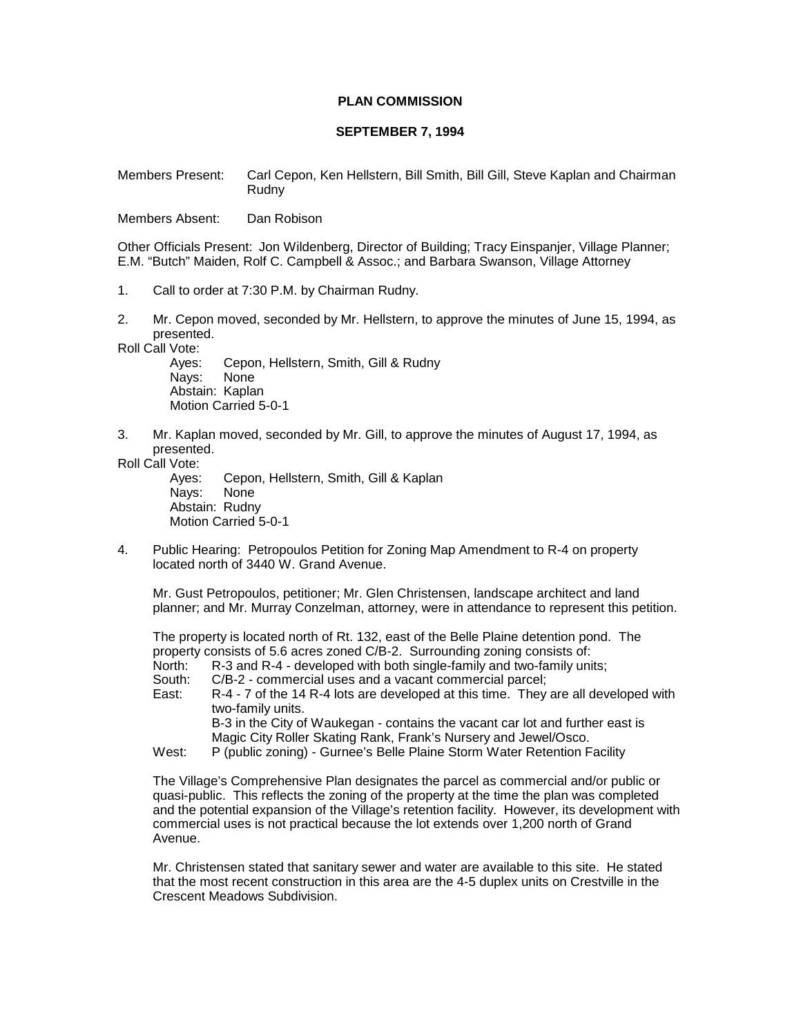## **PLAN COMMISSION**

## **SEPTEMBER 7, 1994**

Members Present: Carl Cepon, Ken Hellstern, Bill Smith, Bill Gill, Steve Kaplan and Chairman Rudny

Members Absent: Dan Robison

Other Officials Present: Jon Wildenberg, Director of Building; Tracy Einspanjer, Village Planner; E.M. "Butch" Maiden, Rolf C. Campbell & Assoc.; and Barbara Swanson, Village Attorney

- 1. Call to order at 7:30 P.M. by Chairman Rudny.
- 2. Mr. Cepon moved, seconded by Mr. Hellstern, to approve the minutes of June 15, 1994, as presented.

Roll Call Vote:

Ayes: Cepon, Hellstern, Smith, Gill & Rudny Nays: None Abstain: Kaplan Motion Carried 5-0-1

3. Mr. Kaplan moved, seconded by Mr. Gill, to approve the minutes of August 17, 1994, as presented.

Roll Call Vote:

Cepon, Hellstern, Smith, Gill & Kaplan Nays: None Abstain: Rudny Motion Carried 5-0-1

4. Public Hearing: Petropoulos Petition for Zoning Map Amendment to R-4 on property located north of 3440 W. Grand Avenue.

Mr. Gust Petropoulos, petitioner; Mr. Glen Christensen, landscape architect and land planner; and Mr. Murray Conzelman, attorney, were in attendance to represent this petition.

The property is located north of Rt. 132, east of the Belle Plaine detention pond. The property consists of 5.6 acres zoned C/B-2. Surrounding zoning consists of:

- North: R-3 and R-4 developed with both single-family and two-family units;
- South: C/B-2 commercial uses and a vacant commercial parcel;
- East: R-4 7 of the 14 R-4 lots are developed at this time. They are all developed with two-family units. B-3 in the City of Waukegan - contains the vacant car lot and further east is

Magic City Roller Skating Rank, Frank's Nursery and Jewel/Osco.

West: P (public zoning) - Gurnee's Belle Plaine Storm Water Retention Facility

The Village's Comprehensive Plan designates the parcel as commercial and/or public or quasi-public. This reflects the zoning of the property at the time the plan was completed and the potential expansion of the Village's retention facility. However, its development with commercial uses is not practical because the lot extends over 1,200 north of Grand Avenue.

Mr. Christensen stated that sanitary sewer and water are available to this site. He stated that the most recent construction in this area are the 4-5 duplex units on Crestville in the Crescent Meadows Subdivision.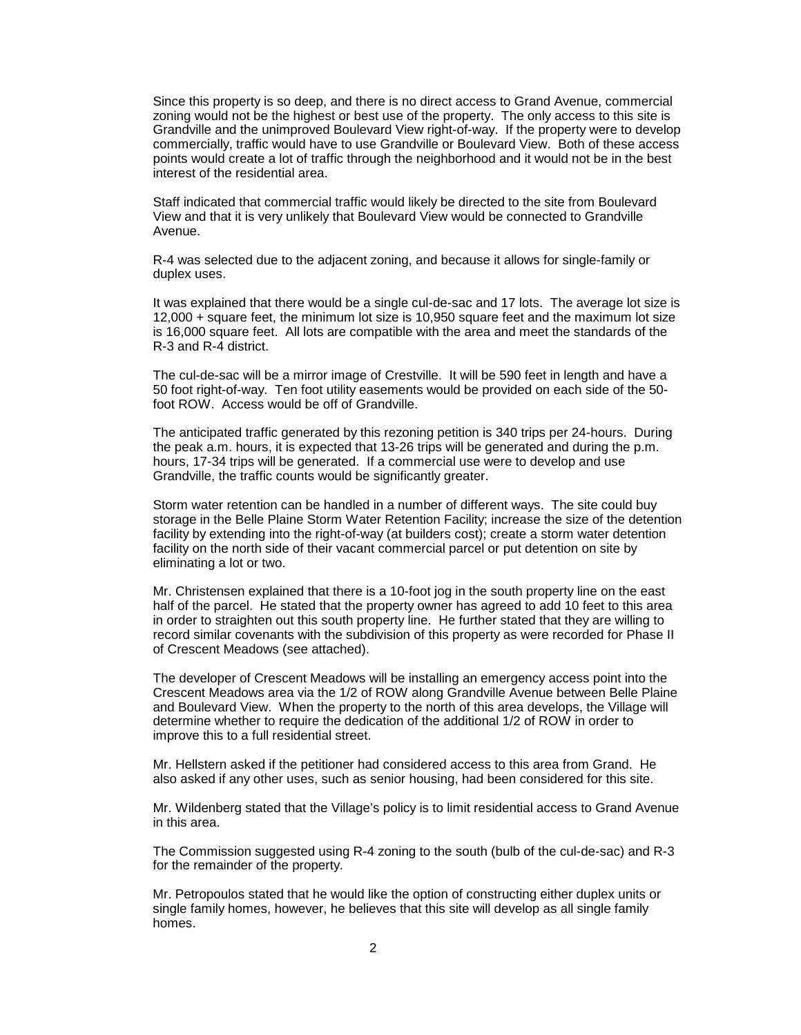Since this property is so deep, and there is no direct access to Grand Avenue, commercial zoning would not be the highest or best use of the property. The only access to this site is Grandville and the unimproved Boulevard View right-of-way. If the property were to develop commercially, traffic would have to use Grandville or Boulevard View. Both of these access points would create a lot of traffic through the neighborhood and it would not be in the best interest of the residential area.

Staff indicated that commercial traffic would likely be directed to the site from Boulevard View and that it is very unlikely that Boulevard View would be connected to Grandville Avenue.

R-4 was selected due to the adjacent zoning, and because it allows for single-family or duplex uses.

It was explained that there would be a single cul-de-sac and 17 lots. The average lot size is 12,000 + square feet, the minimum lot size is 10,950 square feet and the maximum lot size is 16,000 square feet. All lots are compatible with the area and meet the standards of the R-3 and R-4 district.

The cul-de-sac will be a mirror image of Crestville. It will be 590 feet in length and have a 50 foot right-of-way. Ten foot utility easements would be provided on each side of the 50 foot ROW. Access would be off of Grandville.

The anticipated traffic generated by this rezoning petition is 340 trips per 24-hours. During the peak a.m. hours, it is expected that 13-26 trips will be generated and during the p.m. hours, 17-34 trips will be generated. If a commercial use were to develop and use Grandville, the traffic counts would be significantly greater.

Storm water retention can be handled in a number of different ways. The site could buy storage in the Belle Plaine Storm Water Retention Facility; increase the size of the detention facility by extending into the right-of-way (at builders cost); create a storm water detention facility on the north side of their vacant commercial parcel or put detention on site by eliminating a lot or two.

Mr. Christensen explained that there is a 10-foot jog in the south property line on the east half of the parcel. He stated that the property owner has agreed to add 10 feet to this area in order to straighten out this south property line. He further stated that they are willing to record similar covenants with the subdivision of this property as were recorded for Phase II of Crescent Meadows (see attached).

The developer of Crescent Meadows will be installing an emergency access point into the Crescent Meadows area via the 1/2 of ROW along Grandville Avenue between Belle Plaine and Boulevard View. When the property to the north of this area develops, the Village will determine whether to require the dedication of the additional 1/2 of ROW in order to improve this to a full residential street.

Mr. Hellstern asked if the petitioner had considered access to this area from Grand. He also asked if any other uses, such as senior housing, had been considered for this site.

Mr. Wildenberg stated that the Village's policy is to limit residential access to Grand Avenue in this area.

The Commission suggested using R-4 zoning to the south (bulb of the cul-de-sac) and R-3 for the remainder of the property.

Mr. Petropoulos stated that he would like the option of constructing either duplex units or single family homes, however, he believes that this site will develop as all single family homes.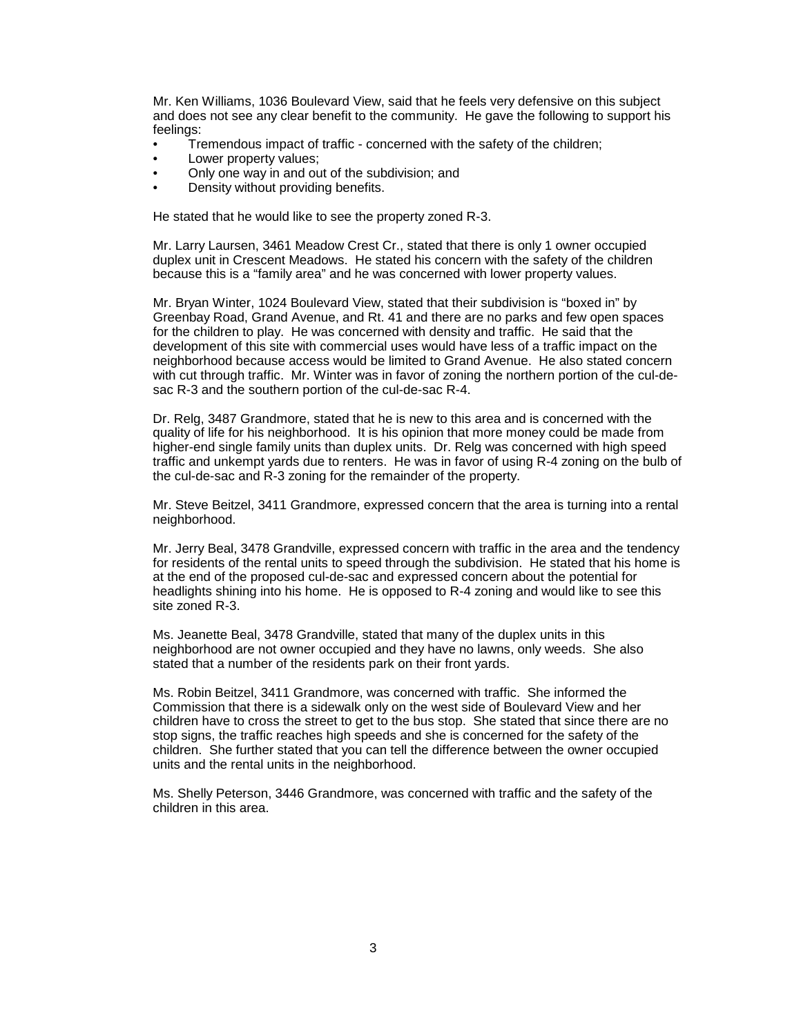Mr. Ken Williams, 1036 Boulevard View, said that he feels very defensive on this subject and does not see any clear benefit to the community. He gave the following to support his feelings:

- Tremendous impact of traffic concerned with the safety of the children;
- Lower property values;
- Only one way in and out of the subdivision; and
- Density without providing benefits.

He stated that he would like to see the property zoned R-3.

Mr. Larry Laursen, 3461 Meadow Crest Cr., stated that there is only 1 owner occupied duplex unit in Crescent Meadows. He stated his concern with the safety of the children because this is a "family area" and he was concerned with lower property values.

Mr. Bryan Winter, 1024 Boulevard View, stated that their subdivision is "boxed in" by Greenbay Road, Grand Avenue, and Rt. 41 and there are no parks and few open spaces for the children to play. He was concerned with density and traffic. He said that the development of this site with commercial uses would have less of a traffic impact on the neighborhood because access would be limited to Grand Avenue. He also stated concern with cut through traffic. Mr. Winter was in favor of zoning the northern portion of the cul-desac R-3 and the southern portion of the cul-de-sac R-4.

Dr. Relg, 3487 Grandmore, stated that he is new to this area and is concerned with the quality of life for his neighborhood. It is his opinion that more money could be made from higher-end single family units than duplex units. Dr. Relg was concerned with high speed traffic and unkempt yards due to renters. He was in favor of using R-4 zoning on the bulb of the cul-de-sac and R-3 zoning for the remainder of the property.

Mr. Steve Beitzel, 3411 Grandmore, expressed concern that the area is turning into a rental neighborhood.

Mr. Jerry Beal, 3478 Grandville, expressed concern with traffic in the area and the tendency for residents of the rental units to speed through the subdivision. He stated that his home is at the end of the proposed cul-de-sac and expressed concern about the potential for headlights shining into his home. He is opposed to R-4 zoning and would like to see this site zoned R-3.

Ms. Jeanette Beal, 3478 Grandville, stated that many of the duplex units in this neighborhood are not owner occupied and they have no lawns, only weeds. She also stated that a number of the residents park on their front yards.

Ms. Robin Beitzel, 3411 Grandmore, was concerned with traffic. She informed the Commission that there is a sidewalk only on the west side of Boulevard View and her children have to cross the street to get to the bus stop. She stated that since there are no stop signs, the traffic reaches high speeds and she is concerned for the safety of the children. She further stated that you can tell the difference between the owner occupied units and the rental units in the neighborhood.

Ms. Shelly Peterson, 3446 Grandmore, was concerned with traffic and the safety of the children in this area.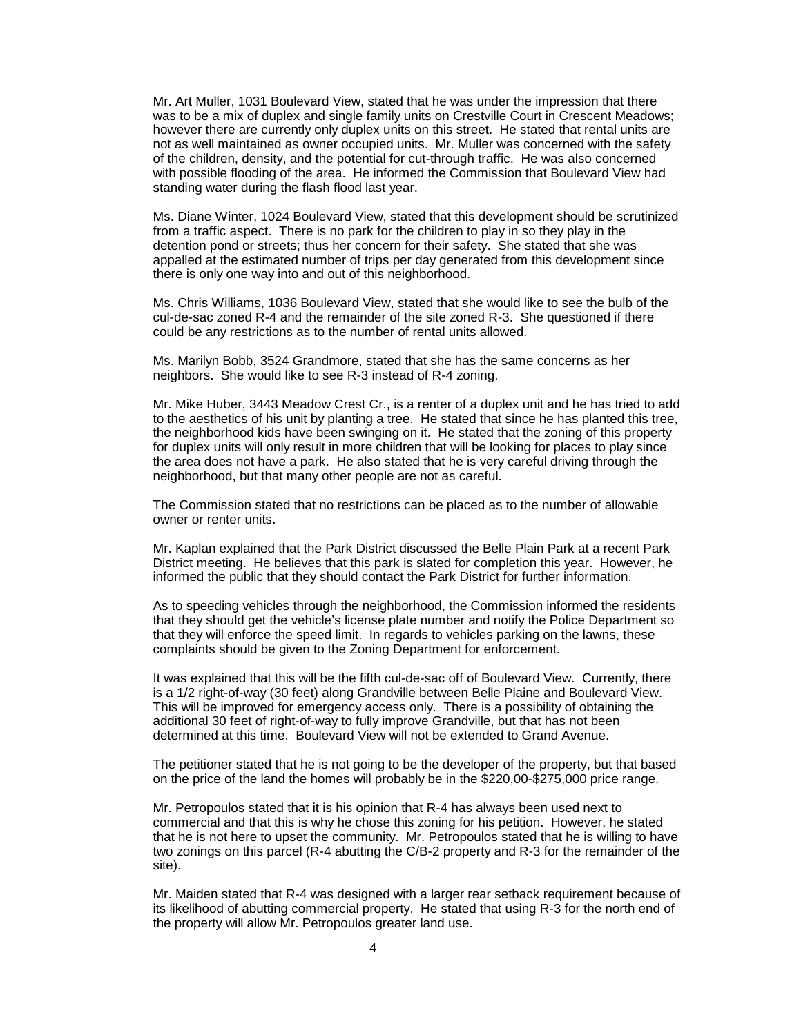Mr. Art Muller, 1031 Boulevard View, stated that he was under the impression that there was to be a mix of duplex and single family units on Crestville Court in Crescent Meadows; however there are currently only duplex units on this street. He stated that rental units are not as well maintained as owner occupied units. Mr. Muller was concerned with the safety of the children, density, and the potential for cut-through traffic. He was also concerned with possible flooding of the area. He informed the Commission that Boulevard View had standing water during the flash flood last year.

Ms. Diane Winter, 1024 Boulevard View, stated that this development should be scrutinized from a traffic aspect. There is no park for the children to play in so they play in the detention pond or streets; thus her concern for their safety. She stated that she was appalled at the estimated number of trips per day generated from this development since there is only one way into and out of this neighborhood.

Ms. Chris Williams, 1036 Boulevard View, stated that she would like to see the bulb of the cul-de-sac zoned R-4 and the remainder of the site zoned R-3. She questioned if there could be any restrictions as to the number of rental units allowed.

Ms. Marilyn Bobb, 3524 Grandmore, stated that she has the same concerns as her neighbors. She would like to see R-3 instead of R-4 zoning.

Mr. Mike Huber, 3443 Meadow Crest Cr., is a renter of a duplex unit and he has tried to add to the aesthetics of his unit by planting a tree. He stated that since he has planted this tree, the neighborhood kids have been swinging on it. He stated that the zoning of this property for duplex units will only result in more children that will be looking for places to play since the area does not have a park. He also stated that he is very careful driving through the neighborhood, but that many other people are not as careful.

The Commission stated that no restrictions can be placed as to the number of allowable owner or renter units.

Mr. Kaplan explained that the Park District discussed the Belle Plain Park at a recent Park District meeting. He believes that this park is slated for completion this year. However, he informed the public that they should contact the Park District for further information.

As to speeding vehicles through the neighborhood, the Commission informed the residents that they should get the vehicle's license plate number and notify the Police Department so that they will enforce the speed limit. In regards to vehicles parking on the lawns, these complaints should be given to the Zoning Department for enforcement.

It was explained that this will be the fifth cul-de-sac off of Boulevard View. Currently, there is a 1/2 right-of-way (30 feet) along Grandville between Belle Plaine and Boulevard View. This will be improved for emergency access only. There is a possibility of obtaining the additional 30 feet of right-of-way to fully improve Grandville, but that has not been determined at this time. Boulevard View will not be extended to Grand Avenue.

The petitioner stated that he is not going to be the developer of the property, but that based on the price of the land the homes will probably be in the \$220,00-\$275,000 price range.

Mr. Petropoulos stated that it is his opinion that R-4 has always been used next to commercial and that this is why he chose this zoning for his petition. However, he stated that he is not here to upset the community. Mr. Petropoulos stated that he is willing to have two zonings on this parcel (R-4 abutting the C/B-2 property and R-3 for the remainder of the site).

Mr. Maiden stated that R-4 was designed with a larger rear setback requirement because of its likelihood of abutting commercial property. He stated that using R-3 for the north end of the property will allow Mr. Petropoulos greater land use.